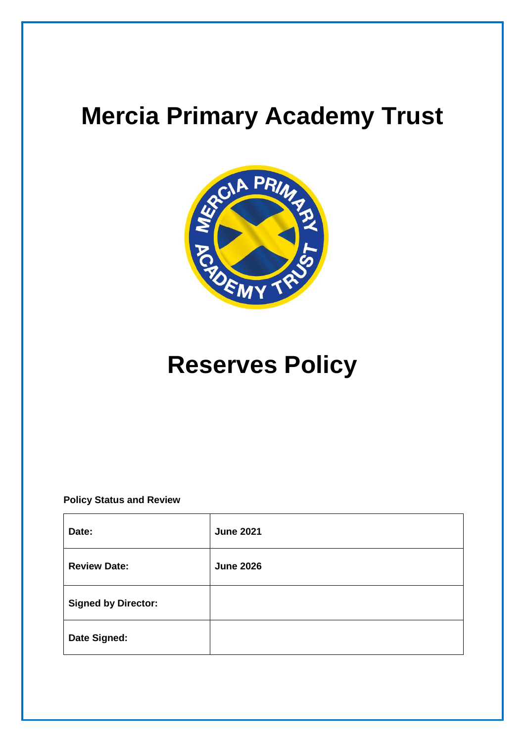# **Mercia Primary Academy Trust**



# **Reserves Policy**

**Policy Status and Review**

| Date:                      | <b>June 2021</b> |
|----------------------------|------------------|
| <b>Review Date:</b>        | <b>June 2026</b> |
| <b>Signed by Director:</b> |                  |
| Date Signed:               |                  |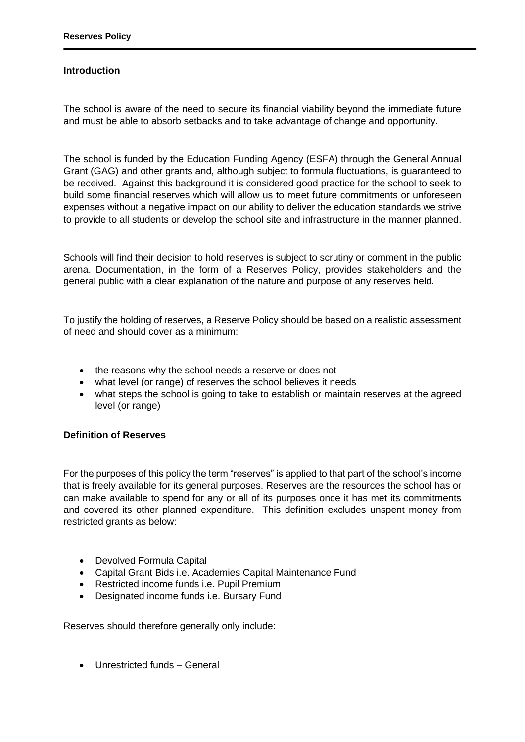### **Introduction**

The school is aware of the need to secure its financial viability beyond the immediate future and must be able to absorb setbacks and to take advantage of change and opportunity.

The school is funded by the Education Funding Agency (ESFA) through the General Annual Grant (GAG) and other grants and, although subject to formula fluctuations, is guaranteed to be received. Against this background it is considered good practice for the school to seek to build some financial reserves which will allow us to meet future commitments or unforeseen expenses without a negative impact on our ability to deliver the education standards we strive to provide to all students or develop the school site and infrastructure in the manner planned.

Schools will find their decision to hold reserves is subject to scrutiny or comment in the public arena. Documentation, in the form of a Reserves Policy, provides stakeholders and the general public with a clear explanation of the nature and purpose of any reserves held.

To justify the holding of reserves, a Reserve Policy should be based on a realistic assessment of need and should cover as a minimum:

- the reasons why the school needs a reserve or does not
- what level (or range) of reserves the school believes it needs
- what steps the school is going to take to establish or maintain reserves at the agreed level (or range)

#### **Definition of Reserves**

For the purposes of this policy the term "reserves" is applied to that part of the school's income that is freely available for its general purposes. Reserves are the resources the school has or can make available to spend for any or all of its purposes once it has met its commitments and covered its other planned expenditure. This definition excludes unspent money from restricted grants as below:

- Devolved Formula Capital
- Capital Grant Bids i.e. Academies Capital Maintenance Fund
- Restricted income funds i.e. Pupil Premium
- Designated income funds i.e. Bursary Fund

Reserves should therefore generally only include:

Unrestricted funds – General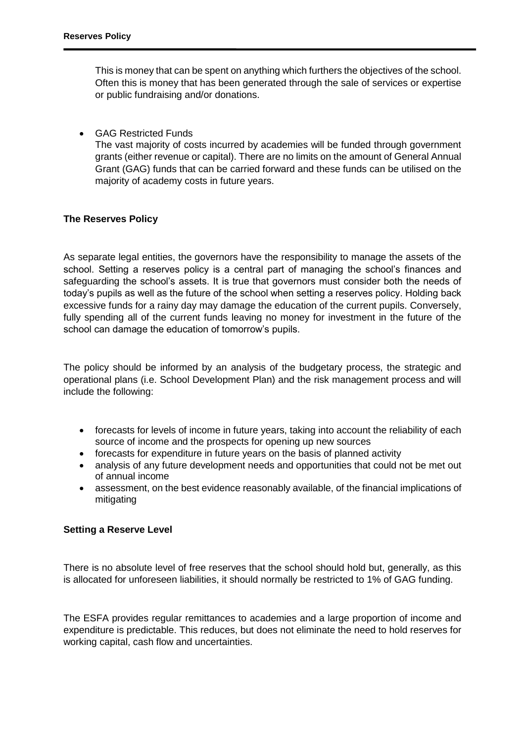This is money that can be spent on anything which furthers the objectives of the school. Often this is money that has been generated through the sale of services or expertise or public fundraising and/or donations.

GAG Restricted Funds

The vast majority of costs incurred by academies will be funded through government grants (either revenue or capital). There are no limits on the amount of General Annual Grant (GAG) funds that can be carried forward and these funds can be utilised on the majority of academy costs in future years.

## **The Reserves Policy**

As separate legal entities, the governors have the responsibility to manage the assets of the school. Setting a reserves policy is a central part of managing the school's finances and safeguarding the school's assets. It is true that governors must consider both the needs of today's pupils as well as the future of the school when setting a reserves policy. Holding back excessive funds for a rainy day may damage the education of the current pupils. Conversely, fully spending all of the current funds leaving no money for investment in the future of the school can damage the education of tomorrow's pupils.

The policy should be informed by an analysis of the budgetary process, the strategic and operational plans (i.e. School Development Plan) and the risk management process and will include the following:

- forecasts for levels of income in future years, taking into account the reliability of each source of income and the prospects for opening up new sources
- forecasts for expenditure in future years on the basis of planned activity
- analysis of any future development needs and opportunities that could not be met out of annual income
- assessment, on the best evidence reasonably available, of the financial implications of mitigating

## **Setting a Reserve Level**

There is no absolute level of free reserves that the school should hold but, generally, as this is allocated for unforeseen liabilities, it should normally be restricted to 1% of GAG funding.

The ESFA provides regular remittances to academies and a large proportion of income and expenditure is predictable. This reduces, but does not eliminate the need to hold reserves for working capital, cash flow and uncertainties.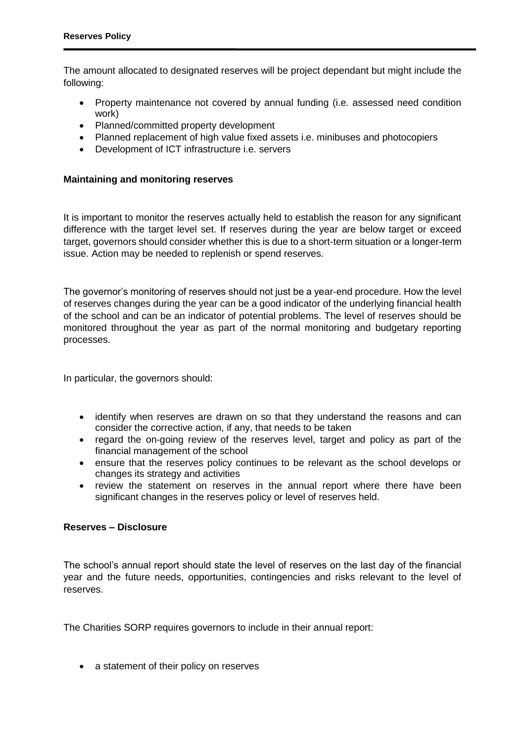The amount allocated to designated reserves will be project dependant but might include the following:

- Property maintenance not covered by annual funding (i.e. assessed need condition work)
- Planned/committed property development
- Planned replacement of high value fixed assets i.e. minibuses and photocopiers
- Development of ICT infrastructure i.e. servers

## **Maintaining and monitoring reserves**

It is important to monitor the reserves actually held to establish the reason for any significant difference with the target level set. If reserves during the year are below target or exceed target, governors should consider whether this is due to a short-term situation or a longer-term issue. Action may be needed to replenish or spend reserves.

The governor's monitoring of reserves should not just be a year-end procedure. How the level of reserves changes during the year can be a good indicator of the underlying financial health of the school and can be an indicator of potential problems. The level of reserves should be monitored throughout the year as part of the normal monitoring and budgetary reporting processes.

In particular, the governors should:

- identify when reserves are drawn on so that they understand the reasons and can consider the corrective action, if any, that needs to be taken
- regard the on-going review of the reserves level, target and policy as part of the financial management of the school
- ensure that the reserves policy continues to be relevant as the school develops or changes its strategy and activities
- review the statement on reserves in the annual report where there have been significant changes in the reserves policy or level of reserves held.

#### **Reserves – Disclosure**

The school's annual report should state the level of reserves on the last day of the financial year and the future needs, opportunities, contingencies and risks relevant to the level of reserves.

The Charities SORP requires governors to include in their annual report:

• a statement of their policy on reserves